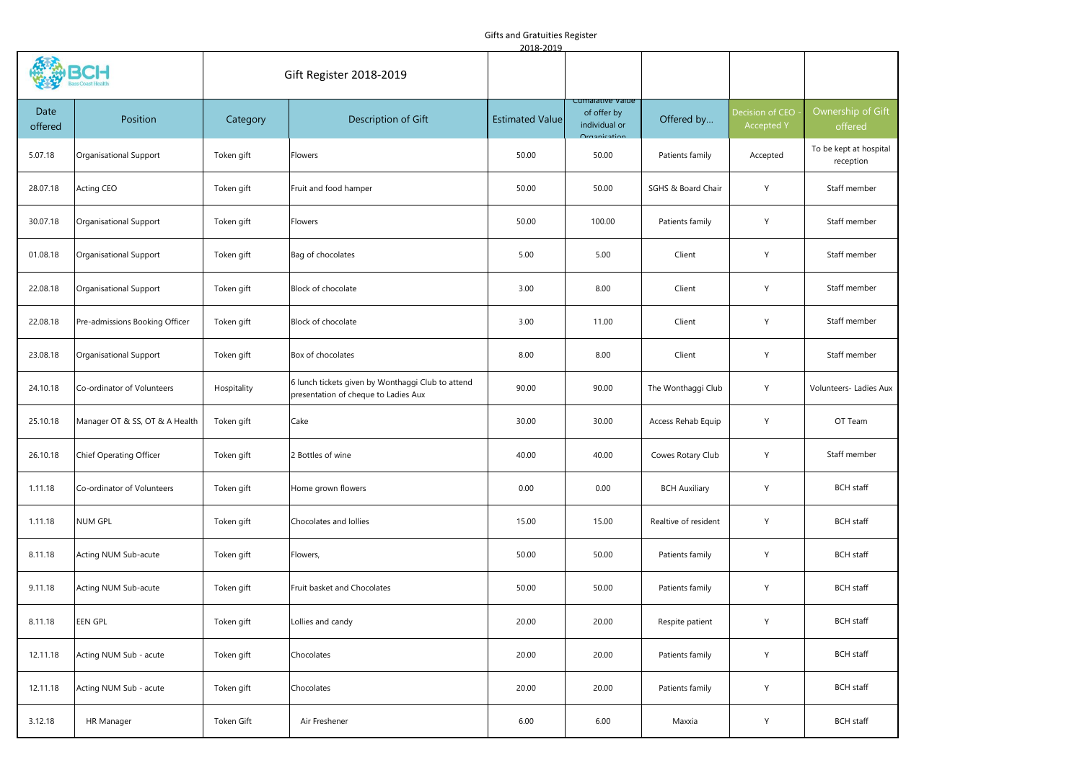## Gifts and Gratuities Register

| 2018-2019       |                                |                         |                                                                                           |                        |                                                  |                      |                                      |                                     |
|-----------------|--------------------------------|-------------------------|-------------------------------------------------------------------------------------------|------------------------|--------------------------------------------------|----------------------|--------------------------------------|-------------------------------------|
|                 |                                | Gift Register 2018-2019 |                                                                                           |                        |                                                  |                      |                                      |                                     |
| Date<br>offered | Position                       | Category                | Description of Gift                                                                       | <b>Estimated Value</b> | Cumalative value<br>of offer by<br>individual or | Offered by           | Decision of CEO<br><b>Accepted Y</b> | Ownership of Gift<br>offered        |
| 5.07.18         | Organisational Support         | Token gift              | Flowers                                                                                   | 50.00                  | 50.00                                            | Patients family      | Accepted                             | To be kept at hospital<br>reception |
| 28.07.18        | <b>Acting CEO</b>              | Token gift              | Fruit and food hamper                                                                     | 50.00                  | 50.00                                            | SGHS & Board Chair   | Y                                    | Staff member                        |
| 30.07.18        | Organisational Support         | Token gift              | Flowers                                                                                   | 50.00                  | 100.00                                           | Patients family      | Y                                    | Staff member                        |
| 01.08.18        | Organisational Support         | Token gift              | Bag of chocolates                                                                         | 5.00                   | 5.00                                             | Client               | Y                                    | Staff member                        |
| 22.08.18        | Organisational Support         | Token gift              | Block of chocolate                                                                        | 3.00                   | 8.00                                             | Client               | Y                                    | Staff member                        |
| 22.08.18        | Pre-admissions Booking Officer | Token gift              | Block of chocolate                                                                        | 3.00                   | 11.00                                            | Client               | Y                                    | Staff member                        |
| 23.08.18        | Organisational Support         | Token gift              | Box of chocolates                                                                         | 8.00                   | 8.00                                             | Client               | Y                                    | Staff member                        |
| 24.10.18        | Co-ordinator of Volunteers     | Hospitality             | 6 lunch tickets given by Wonthaggi Club to attend<br>presentation of cheque to Ladies Aux | 90.00                  | 90.00                                            | The Wonthaggi Club   | Y                                    | Volunteers- Ladies Aux              |
| 25.10.18        | Manager OT & SS, OT & A Health | Token gift              | Cake                                                                                      | 30.00                  | 30.00                                            | Access Rehab Equip   | Y                                    | OT Team                             |
| 26.10.18        | Chief Operating Officer        | Token gift              | 2 Bottles of wine                                                                         | 40.00                  | 40.00                                            | Cowes Rotary Club    | Y                                    | Staff member                        |
| 1.11.18         | Co-ordinator of Volunteers     | Token gift              | Home grown flowers                                                                        | 0.00                   | 0.00                                             | <b>BCH Auxiliary</b> | Y                                    | <b>BCH</b> staff                    |
| 1.11.18         | <b>NUM GPL</b>                 | Token gift              | Chocolates and lollies                                                                    | 15.00                  | 15.00                                            | Realtive of resident | Y                                    | <b>BCH</b> staff                    |
| 8.11.18         | Acting NUM Sub-acute           | Token gift              | Flowers,                                                                                  | 50.00                  | 50.00                                            | Patients family      | Y                                    | <b>BCH</b> staff                    |
| 9.11.18         | Acting NUM Sub-acute           | Token gift              | Fruit basket and Chocolates                                                               | 50.00                  | 50.00                                            | Patients family      | Y                                    | <b>BCH</b> staff                    |
| 8.11.18         | EEN GPL                        | Token gift              | Lollies and candy                                                                         | 20.00                  | 20.00                                            | Respite patient      | Y                                    | <b>BCH</b> staff                    |
| 12.11.18        | Acting NUM Sub - acute         | Token gift              | Chocolates                                                                                | 20.00                  | 20.00                                            | Patients family      | Y                                    | <b>BCH</b> staff                    |
| 12.11.18        | Acting NUM Sub - acute         | Token gift              | Chocolates                                                                                | 20.00                  | 20.00                                            | Patients family      | Y                                    | <b>BCH</b> staff                    |
| 3.12.18         | HR Manager                     | Token Gift              | Air Freshener                                                                             | 6.00                   | 6.00                                             | Maxxia               | Υ                                    | <b>BCH</b> staff                    |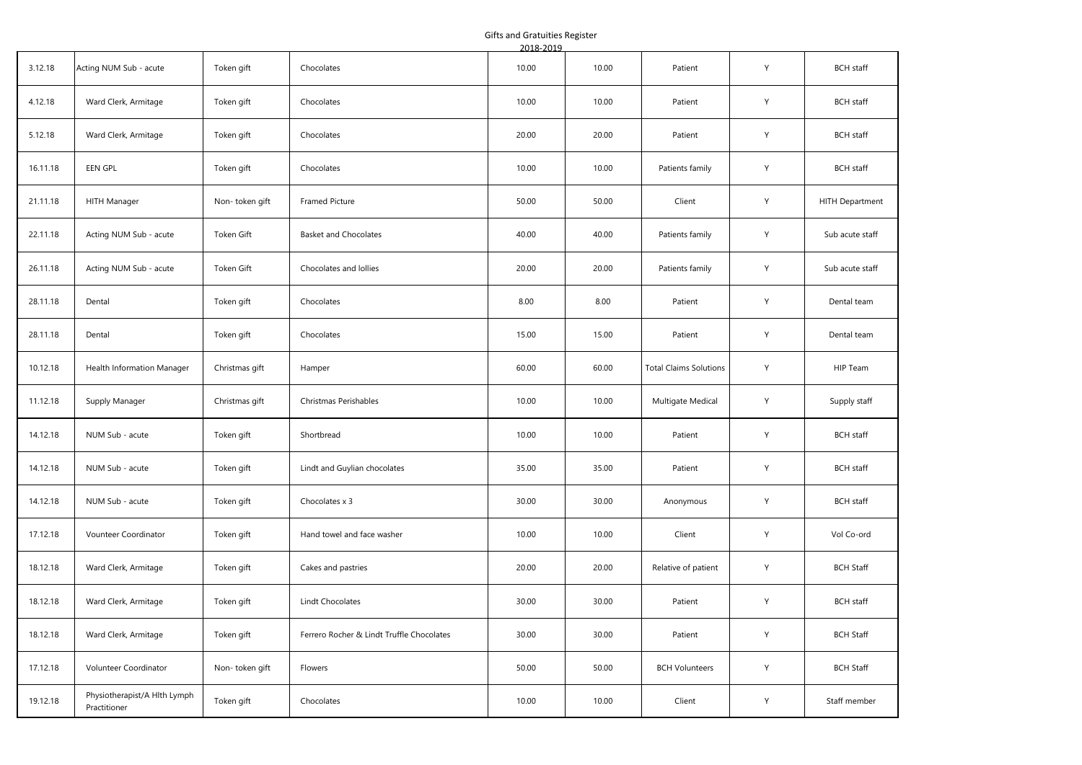Gifts and Gratuities Register

|          |                                              |                |                                           | 2018-2019 |       |                               |   |                  |
|----------|----------------------------------------------|----------------|-------------------------------------------|-----------|-------|-------------------------------|---|------------------|
| 3.12.18  | Acting NUM Sub - acute                       | Token gift     | Chocolates                                | 10.00     | 10.00 | Patient                       | Y | <b>BCH</b> staff |
| 4.12.18  | Ward Clerk, Armitage                         | Token gift     | Chocolates                                | 10.00     | 10.00 | Patient                       | Υ | <b>BCH</b> staff |
| 5.12.18  | Ward Clerk, Armitage                         | Token gift     | Chocolates                                | 20.00     | 20.00 | Patient                       | Υ | <b>BCH</b> staff |
| 16.11.18 | EEN GPL                                      | Token gift     | Chocolates                                | 10.00     | 10.00 | Patients family               | Y | <b>BCH</b> staff |
| 21.11.18 | HITH Manager                                 | Non-token gift | Framed Picture                            | 50.00     | 50.00 | Client                        | Y | HITH Department  |
| 22.11.18 | Acting NUM Sub - acute                       | Token Gift     | <b>Basket and Chocolates</b>              | 40.00     | 40.00 | Patients family               | Y | Sub acute staff  |
| 26.11.18 | Acting NUM Sub - acute                       | Token Gift     | Chocolates and Iollies                    | 20.00     | 20.00 | Patients family               | Y | Sub acute staff  |
| 28.11.18 | Dental                                       | Token gift     | Chocolates                                | 8.00      | 8.00  | Patient                       | Y | Dental team      |
| 28.11.18 | Dental                                       | Token gift     | Chocolates                                | 15.00     | 15.00 | Patient                       | Υ | Dental team      |
| 10.12.18 | Health Information Manager                   | Christmas gift | Hamper                                    | 60.00     | 60.00 | <b>Total Claims Solutions</b> | Y | HIP Team         |
| 11.12.18 | Supply Manager                               | Christmas gift | Christmas Perishables                     | 10.00     | 10.00 | Multigate Medical             | Υ | Supply staff     |
| 14.12.18 | NUM Sub - acute                              | Token gift     | Shortbread                                | 10.00     | 10.00 | Patient                       | Y | <b>BCH</b> staff |
| 14.12.18 | NUM Sub - acute                              | Token gift     | Lindt and Guylian chocolates              | 35.00     | 35.00 | Patient                       | Y | <b>BCH</b> staff |
| 14.12.18 | NUM Sub - acute                              | Token gift     | Chocolates x 3                            | 30.00     | 30.00 | Anonymous                     | Υ | <b>BCH</b> staff |
| 17.12.18 | Vounteer Coordinator                         | Token gift     | Hand towel and face washer                | 10.00     | 10.00 | Client                        | Y | Vol Co-ord       |
| 18.12.18 | Ward Clerk, Armitage                         | Token gift     | Cakes and pastries                        | 20.00     | 20.00 | Relative of patient           | Y | <b>BCH Staff</b> |
| 18.12.18 | Ward Clerk, Armitage                         | Token gift     | Lindt Chocolates                          | 30.00     | 30.00 | Patient                       | Y | <b>BCH</b> staff |
| 18.12.18 | Ward Clerk, Armitage                         | Token gift     | Ferrero Rocher & Lindt Truffle Chocolates | 30.00     | 30.00 | Patient                       | Υ | <b>BCH Staff</b> |
| 17.12.18 | Volunteer Coordinator                        | Non-token gift | Flowers                                   | 50.00     | 50.00 | <b>BCH Volunteers</b>         | Υ | <b>BCH Staff</b> |
| 19.12.18 | Physiotherapist/A Hlth Lymph<br>Practitioner | Token gift     | Chocolates                                | 10.00     | 10.00 | Client                        | Υ | Staff member     |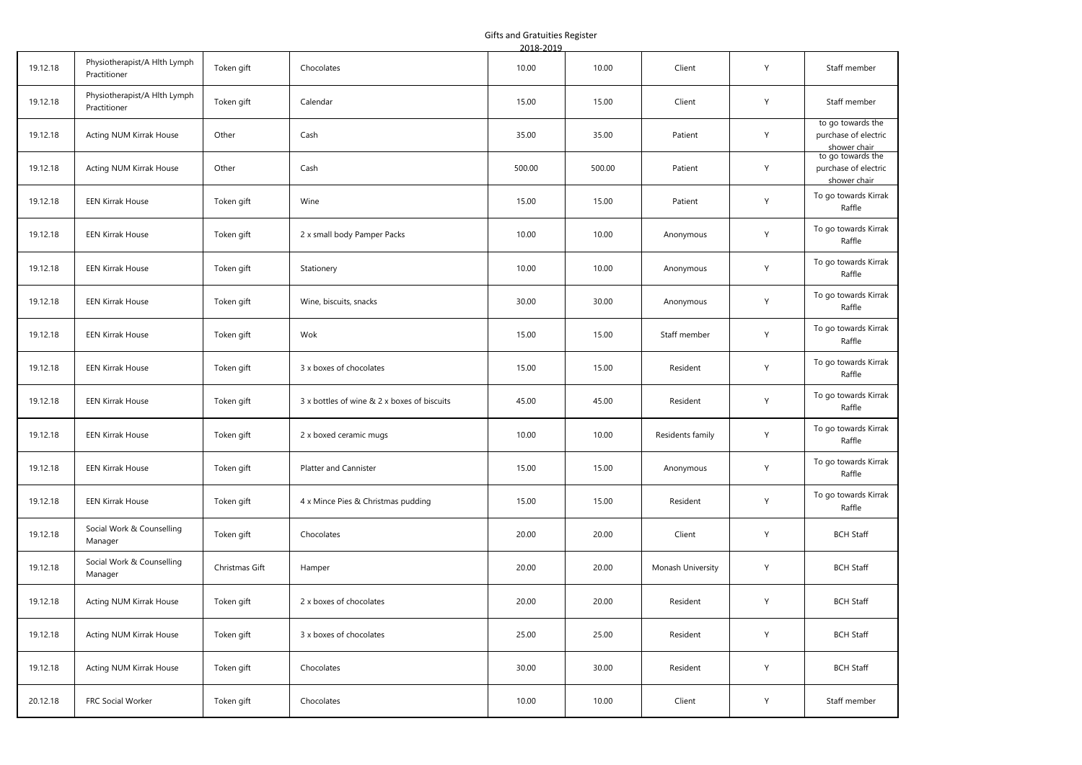Gifts and Gratuities Register

|          |                                              |                |                                             | 2018-2019 |        |                   |   |                                                           |
|----------|----------------------------------------------|----------------|---------------------------------------------|-----------|--------|-------------------|---|-----------------------------------------------------------|
| 19.12.18 | Physiotherapist/A Hlth Lymph<br>Practitioner | Token gift     | Chocolates                                  | 10.00     | 10.00  | Client            | Y | Staff member                                              |
| 19.12.18 | Physiotherapist/A Hlth Lymph<br>Practitioner | Token gift     | Calendar                                    | 15.00     | 15.00  | Client            | Y | Staff member                                              |
| 19.12.18 | Acting NUM Kirrak House                      | Other          | Cash                                        | 35.00     | 35.00  | Patient           | Y | to go towards the<br>purchase of electric<br>shower chair |
| 19.12.18 | Acting NUM Kirrak House                      | Other          | Cash                                        | 500.00    | 500.00 | Patient           | Y | to go towards the<br>purchase of electric<br>shower chair |
| 19.12.18 | <b>EEN Kirrak House</b>                      | Token gift     | Wine                                        | 15.00     | 15.00  | Patient           | Y | To go towards Kirrak<br>Raffle                            |
| 19.12.18 | <b>EEN Kirrak House</b>                      | Token gift     | 2 x small body Pamper Packs                 | 10.00     | 10.00  | Anonymous         | Y | To go towards Kirrak<br>Raffle                            |
| 19.12.18 | <b>EEN Kirrak House</b>                      | Token gift     | Stationery                                  | 10.00     | 10.00  | Anonymous         | Υ | To go towards Kirrak<br>Raffle                            |
| 19.12.18 | <b>EEN Kirrak House</b>                      | Token gift     | Wine, biscuits, snacks                      | 30.00     | 30.00  | Anonymous         | Υ | To go towards Kirrak<br>Raffle                            |
| 19.12.18 | <b>EEN Kirrak House</b>                      | Token gift     | Wok                                         | 15.00     | 15.00  | Staff member      | Y | To go towards Kirrak<br>Raffle                            |
| 19.12.18 | <b>EEN Kirrak House</b>                      | Token gift     | 3 x boxes of chocolates                     | 15.00     | 15.00  | Resident          | Y | To go towards Kirrak<br>Raffle                            |
| 19.12.18 | <b>EEN Kirrak House</b>                      | Token gift     | 3 x bottles of wine & 2 x boxes of biscuits | 45.00     | 45.00  | Resident          | Y | To go towards Kirrak<br>Raffle                            |
| 19.12.18 | <b>EEN Kirrak House</b>                      | Token gift     | 2 x boxed ceramic mugs                      | 10.00     | 10.00  | Residents family  | Y | To go towards Kirrak<br>Raffle                            |
| 19.12.18 | <b>EEN Kirrak House</b>                      | Token gift     | <b>Platter and Cannister</b>                | 15.00     | 15.00  | Anonymous         | Y | To go towards Kirrak<br>Raffle                            |
| 19.12.18 | <b>EEN Kirrak House</b>                      | Token gift     | 4 x Mince Pies & Christmas pudding          | 15.00     | 15.00  | Resident          | Υ | To go towards Kirrak<br>Raffle                            |
| 19.12.18 | Social Work & Counselling<br>Manager         | Token gift     | Chocolates                                  | 20.00     | 20.00  | Client            | Y | <b>BCH Staff</b>                                          |
| 19.12.18 | Social Work & Counselling<br>Manager         | Christmas Gift | Hamper                                      | 20.00     | 20.00  | Monash University | Y | <b>BCH Staff</b>                                          |
| 19.12.18 | Acting NUM Kirrak House                      | Token gift     | 2 x boxes of chocolates                     | 20.00     | 20.00  | Resident          | Υ | <b>BCH Staff</b>                                          |
| 19.12.18 | Acting NUM Kirrak House                      | Token gift     | 3 x boxes of chocolates                     | 25.00     | 25.00  | Resident          | Y | <b>BCH Staff</b>                                          |
| 19.12.18 | Acting NUM Kirrak House                      | Token gift     | Chocolates                                  | 30.00     | 30.00  | Resident          | Y | <b>BCH Staff</b>                                          |
| 20.12.18 | FRC Social Worker                            | Token gift     | Chocolates                                  | 10.00     | 10.00  | Client            | Υ | Staff member                                              |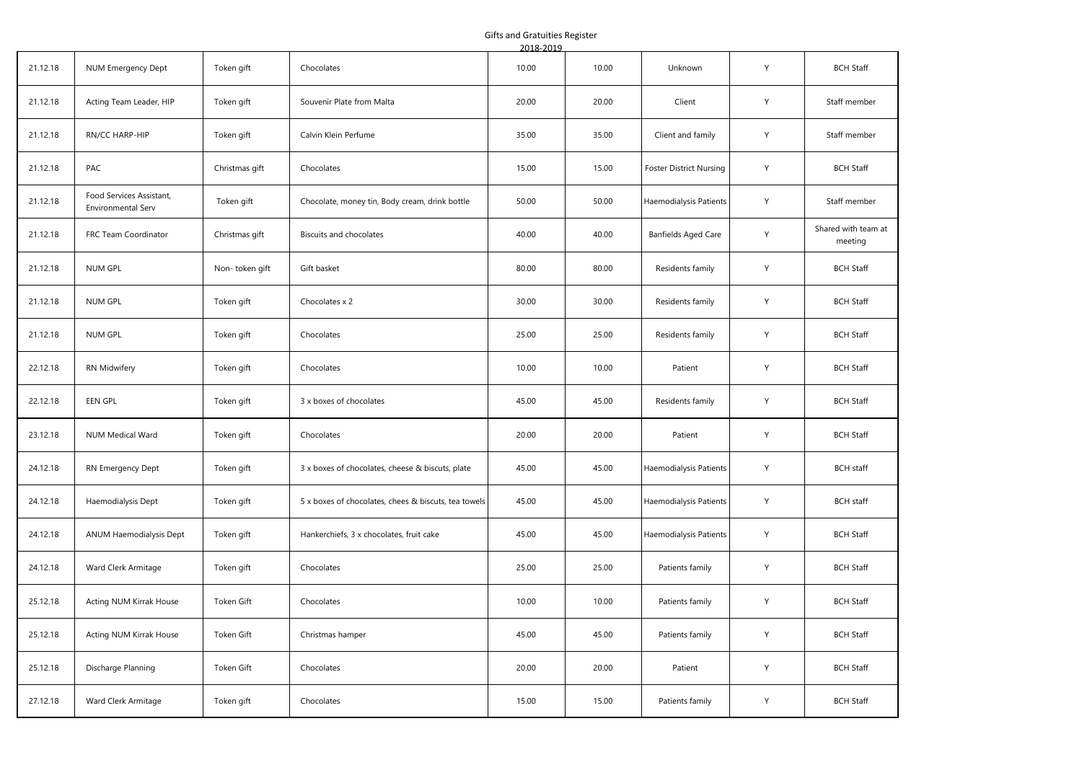## Gifts and Gratuities Register

|          |                                                |                |                                                      | 2018-2019 |       |                                |   |                                |
|----------|------------------------------------------------|----------------|------------------------------------------------------|-----------|-------|--------------------------------|---|--------------------------------|
| 21.12.18 | NUM Emergency Dept                             | Token gift     | Chocolates                                           | 10.00     | 10.00 | Unknown                        | Y | <b>BCH Staff</b>               |
| 21.12.18 | Acting Team Leader, HIP                        | Token gift     | Souvenir Plate from Malta                            | 20.00     | 20.00 | Client                         | Y | Staff member                   |
| 21.12.18 | RN/CC HARP-HIP                                 | Token gift     | Calvin Klein Perfume                                 | 35.00     | 35.00 | Client and family              | Y | Staff member                   |
| 21.12.18 | PAC                                            | Christmas gift | Chocolates                                           | 15.00     | 15.00 | <b>Foster District Nursing</b> | Y | <b>BCH Staff</b>               |
| 21.12.18 | Food Services Assistant,<br>Environmental Serv | Token gift     | Chocolate, money tin, Body cream, drink bottle       | 50.00     | 50.00 | Haemodialysis Patients         | Y | Staff member                   |
| 21.12.18 | FRC Team Coordinator                           | Christmas gift | Biscuits and chocolates                              | 40.00     | 40.00 | <b>Banfields Aged Care</b>     | Y | Shared with team at<br>meeting |
| 21.12.18 | NUM GPL                                        | Non-token gift | Gift basket                                          | 80.00     | 80.00 | Residents family               | Y | <b>BCH Staff</b>               |
| 21.12.18 | NUM GPL                                        | Token gift     | Chocolates x 2                                       | 30.00     | 30.00 | Residents family               | Y | <b>BCH Staff</b>               |
| 21.12.18 | <b>NUM GPL</b>                                 | Token gift     | Chocolates                                           | 25.00     | 25.00 | Residents family               | Y | <b>BCH Staff</b>               |
| 22.12.18 | RN Midwifery                                   | Token gift     | Chocolates                                           | 10.00     | 10.00 | Patient                        | Y | <b>BCH Staff</b>               |
| 22.12.18 | EEN GPL                                        | Token gift     | 3 x boxes of chocolates                              | 45.00     | 45.00 | Residents family               | Υ | <b>BCH Staff</b>               |
| 23.12.18 | NUM Medical Ward                               | Token gift     | Chocolates                                           | 20.00     | 20.00 | Patient                        | Y | <b>BCH Staff</b>               |
| 24.12.18 | RN Emergency Dept                              | Token gift     | 3 x boxes of chocolates, cheese & biscuts, plate     | 45.00     | 45.00 | Haemodialysis Patients         | Y | <b>BCH</b> staff               |
| 24.12.18 | Haemodialysis Dept                             | Token gift     | 5 x boxes of chocolates, chees & biscuts, tea towels | 45.00     | 45.00 | Haemodialysis Patients         | Y | <b>BCH</b> staff               |
| 24.12.18 | ANUM Haemodialysis Dept                        | Token gift     | Hankerchiefs, 3 x chocolates, fruit cake             | 45.00     | 45.00 | Haemodialysis Patients         | Y | <b>BCH Staff</b>               |
| 24.12.18 | Ward Clerk Armitage                            | Token gift     | Chocolates                                           | 25.00     | 25.00 | Patients family                | Υ | <b>BCH Staff</b>               |
| 25.12.18 | Acting NUM Kirrak House                        | Token Gift     | Chocolates                                           | 10.00     | 10.00 | Patients family                | Υ | <b>BCH Staff</b>               |
| 25.12.18 | Acting NUM Kirrak House                        | Token Gift     | Christmas hamper                                     | 45.00     | 45.00 | Patients family                | Y | <b>BCH Staff</b>               |
| 25.12.18 | Discharge Planning                             | Token Gift     | Chocolates                                           | 20.00     | 20.00 | Patient                        | Y | <b>BCH Staff</b>               |
| 27.12.18 | Ward Clerk Armitage                            | Token gift     | Chocolates                                           | 15.00     | 15.00 | Patients family                | Υ | <b>BCH Staff</b>               |